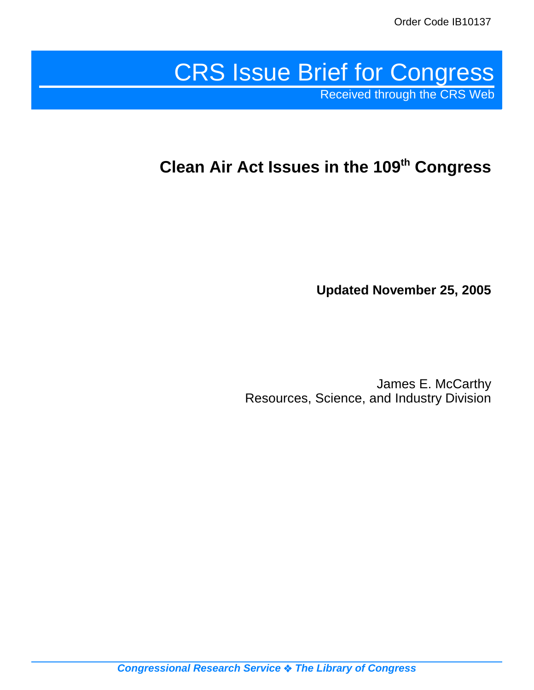# CRS Issue Brief for Congress Received through the CRS Web

## **Clean Air Act Issues in the 109th Congress**

**Updated November 25, 2005**

James E. McCarthy Resources, Science, and Industry Division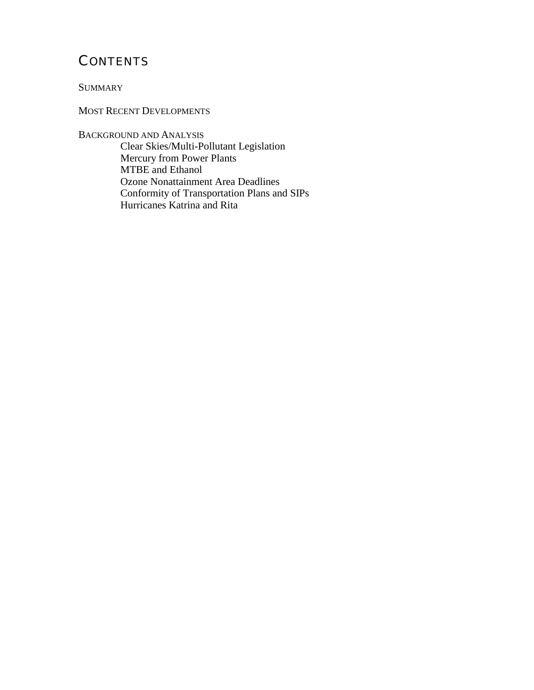## **CONTENTS**

**SUMMARY** 

MOST RECENT DEVELOPMENTS

BACKGROUND AND ANALYSIS Clear Skies/Multi-Pollutant Legislation Mercury from Power Plants MTBE and Ethanol Ozone Nonattainment Area Deadlines Conformity of Transportation Plans and SIPs Hurricanes Katrina and Rita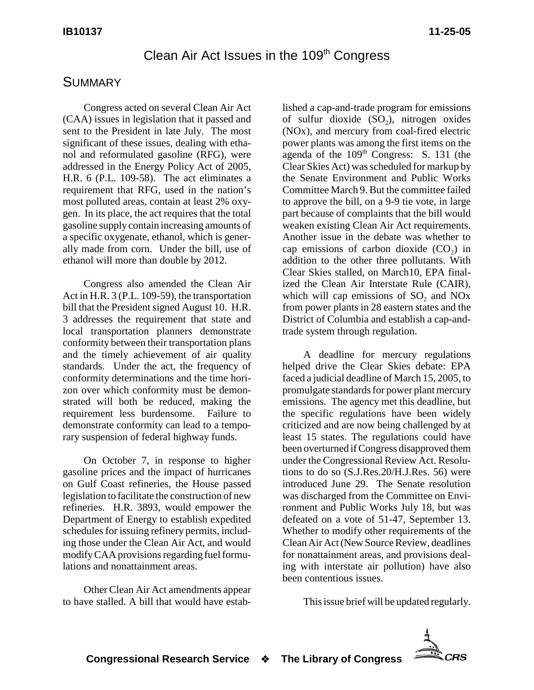### Clean Air Act Issues in the  $109<sup>th</sup>$  Congress

### **SUMMARY**

Congress acted on several Clean Air Act (CAA) issues in legislation that it passed and sent to the President in late July. The most significant of these issues, dealing with ethanol and reformulated gasoline (RFG), were addressed in the Energy Policy Act of 2005, H.R. 6 (P.L. 109-58). The act eliminates a requirement that RFG, used in the nation's most polluted areas, contain at least 2% oxygen. In its place, the act requires that the total gasoline supply contain increasing amounts of a specific oxygenate, ethanol, which is generally made from corn. Under the bill, use of ethanol will more than double by 2012.

Congress also amended the Clean Air Act in H.R. 3 (P.L. 109-59), the transportation bill that the President signed August 10. H.R. 3 addresses the requirement that state and local transportation planners demonstrate conformity between their transportation plans and the timely achievement of air quality standards. Under the act, the frequency of conformity determinations and the time horizon over which conformity must be demonstrated will both be reduced, making the requirement less burdensome. Failure to demonstrate conformity can lead to a temporary suspension of federal highway funds.

On October 7, in response to higher gasoline prices and the impact of hurricanes on Gulf Coast refineries, the House passed legislation to facilitate the construction of new refineries. H.R. 3893, would empower the Department of Energy to establish expedited schedules for issuing refinery permits, including those under the Clean Air Act, and would modify CAA provisions regarding fuel formulations and nonattainment areas.

Other Clean Air Act amendments appear to have stalled. A bill that would have estab-

lished a cap-and-trade program for emissions of sulfur dioxide  $(SO<sub>2</sub>)$ , nitrogen oxides (NOx), and mercury from coal-fired electric power plants was among the first items on the agenda of the  $109<sup>th</sup>$  Congress: S. 131 (the Clear Skies Act) was scheduled for markup by the Senate Environment and Public Works Committee March 9. But the committee failed to approve the bill, on a 9-9 tie vote, in large part because of complaints that the bill would weaken existing Clean Air Act requirements. Another issue in the debate was whether to cap emissions of carbon dioxide  $(CO<sub>2</sub>)$  in addition to the other three pollutants. With Clear Skies stalled, on March10, EPA finalized the Clean Air Interstate Rule (CAIR), which will cap emissions of  $SO<sub>2</sub>$  and  $NOx$ from power plants in 28 eastern states and the District of Columbia and establish a cap-andtrade system through regulation.

A deadline for mercury regulations helped drive the Clear Skies debate: EPA faced a judicial deadline of March 15, 2005, to promulgate standards for power plant mercury emissions. The agency met this deadline, but the specific regulations have been widely criticized and are now being challenged by at least 15 states. The regulations could have been overturned if Congress disapproved them under the Congressional Review Act. Resolutions to do so (S.J.Res.20/H.J.Res. 56) were introduced June 29. The Senate resolution was discharged from the Committee on Environment and Public Works July 18, but was defeated on a vote of 51-47, September 13. Whether to modify other requirements of the Clean Air Act (New Source Review, deadlines for nonattainment areas, and provisions dealing with interstate air pollution) have also been contentious issues.

This issue brief will be updated regularly.

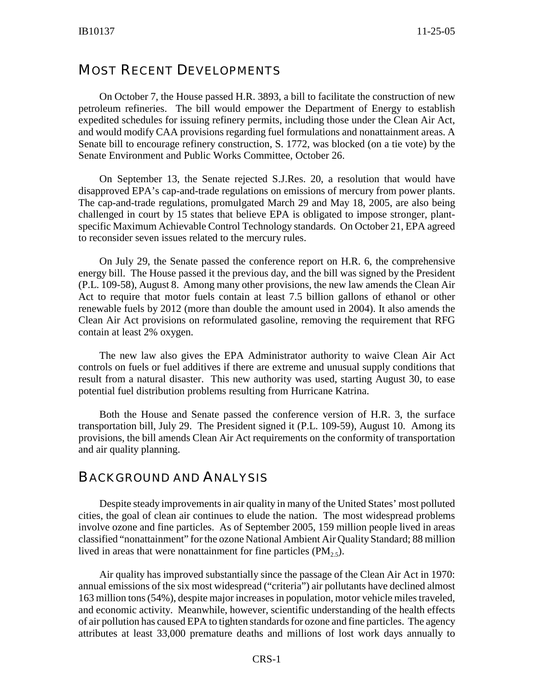#### MOST RECENT DEVELOPMENTS

On October 7, the House passed H.R. 3893, a bill to facilitate the construction of new petroleum refineries. The bill would empower the Department of Energy to establish expedited schedules for issuing refinery permits, including those under the Clean Air Act, and would modify CAA provisions regarding fuel formulations and nonattainment areas. A Senate bill to encourage refinery construction, S. 1772, was blocked (on a tie vote) by the Senate Environment and Public Works Committee, October 26.

On September 13, the Senate rejected S.J.Res. 20, a resolution that would have disapproved EPA's cap-and-trade regulations on emissions of mercury from power plants. The cap-and-trade regulations, promulgated March 29 and May 18, 2005, are also being challenged in court by 15 states that believe EPA is obligated to impose stronger, plantspecific Maximum Achievable Control Technology standards. On October 21, EPA agreed to reconsider seven issues related to the mercury rules.

On July 29, the Senate passed the conference report on H.R. 6, the comprehensive energy bill. The House passed it the previous day, and the bill was signed by the President (P.L. 109-58), August 8. Among many other provisions, the new law amends the Clean Air Act to require that motor fuels contain at least 7.5 billion gallons of ethanol or other renewable fuels by 2012 (more than double the amount used in 2004). It also amends the Clean Air Act provisions on reformulated gasoline, removing the requirement that RFG contain at least 2% oxygen.

The new law also gives the EPA Administrator authority to waive Clean Air Act controls on fuels or fuel additives if there are extreme and unusual supply conditions that result from a natural disaster. This new authority was used, starting August 30, to ease potential fuel distribution problems resulting from Hurricane Katrina.

Both the House and Senate passed the conference version of H.R. 3, the surface transportation bill, July 29. The President signed it (P.L. 109-59), August 10. Among its provisions, the bill amends Clean Air Act requirements on the conformity of transportation and air quality planning.

#### BACKGROUND AND ANALYSIS

Despite steady improvements in air quality in many of the United States' most polluted cities, the goal of clean air continues to elude the nation. The most widespread problems involve ozone and fine particles. As of September 2005, 159 million people lived in areas classified "nonattainment" for the ozone National Ambient Air Quality Standard; 88 million lived in areas that were nonattainment for fine particles  $(PM_{2.5})$ .

Air quality has improved substantially since the passage of the Clean Air Act in 1970: annual emissions of the six most widespread ("criteria") air pollutants have declined almost 163 million tons (54%), despite major increases in population, motor vehicle miles traveled, and economic activity. Meanwhile, however, scientific understanding of the health effects of air pollution has caused EPA to tighten standards for ozone and fine particles. The agency attributes at least 33,000 premature deaths and millions of lost work days annually to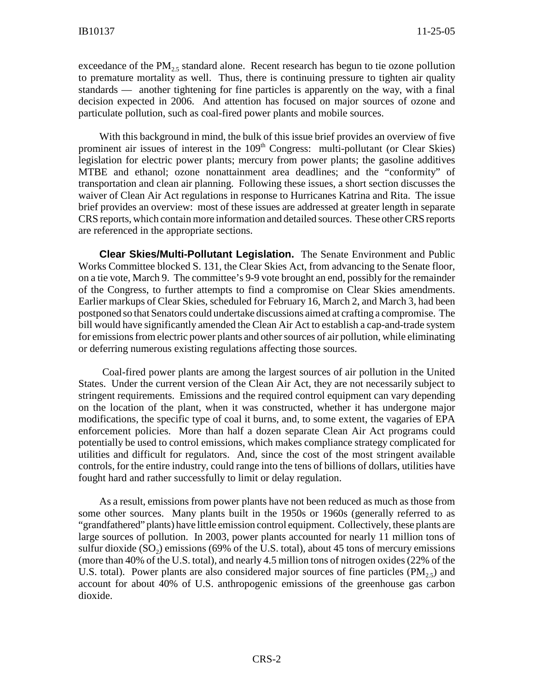exceedance of the  $PM_{2.5}$  standard alone. Recent research has begun to tie ozone pollution to premature mortality as well. Thus, there is continuing pressure to tighten air quality standards — another tightening for fine particles is apparently on the way, with a final decision expected in 2006. And attention has focused on major sources of ozone and particulate pollution, such as coal-fired power plants and mobile sources.

With this background in mind, the bulk of this issue brief provides an overview of five prominent air issues of interest in the  $109<sup>th</sup>$  Congress: multi-pollutant (or Clear Skies) legislation for electric power plants; mercury from power plants; the gasoline additives MTBE and ethanol; ozone nonattainment area deadlines; and the "conformity" of transportation and clean air planning. Following these issues, a short section discusses the waiver of Clean Air Act regulations in response to Hurricanes Katrina and Rita. The issue brief provides an overview: most of these issues are addressed at greater length in separate CRS reports, which contain more information and detailed sources. These other CRS reports are referenced in the appropriate sections.

**Clear Skies/Multi-Pollutant Legislation.** The Senate Environment and Public Works Committee blocked S. 131, the Clear Skies Act, from advancing to the Senate floor, on a tie vote, March 9. The committee's 9-9 vote brought an end, possibly for the remainder of the Congress, to further attempts to find a compromise on Clear Skies amendments. Earlier markups of Clear Skies, scheduled for February 16, March 2, and March 3, had been postponed so that Senators could undertake discussions aimed at crafting a compromise. The bill would have significantly amended the Clean Air Act to establish a cap-and-trade system for emissions from electric power plants and other sources of air pollution, while eliminating or deferring numerous existing regulations affecting those sources.

 Coal-fired power plants are among the largest sources of air pollution in the United States. Under the current version of the Clean Air Act, they are not necessarily subject to stringent requirements. Emissions and the required control equipment can vary depending on the location of the plant, when it was constructed, whether it has undergone major modifications, the specific type of coal it burns, and, to some extent, the vagaries of EPA enforcement policies. More than half a dozen separate Clean Air Act programs could potentially be used to control emissions, which makes compliance strategy complicated for utilities and difficult for regulators. And, since the cost of the most stringent available controls, for the entire industry, could range into the tens of billions of dollars, utilities have fought hard and rather successfully to limit or delay regulation.

As a result, emissions from power plants have not been reduced as much as those from some other sources. Many plants built in the 1950s or 1960s (generally referred to as "grandfathered" plants) have little emission control equipment. Collectively, these plants are large sources of pollution. In 2003, power plants accounted for nearly 11 million tons of sulfur dioxide  $(SO<sub>2</sub>)$  emissions (69% of the U.S. total), about 45 tons of mercury emissions (more than 40% of the U.S. total), and nearly 4.5 million tons of nitrogen oxides (22% of the U.S. total). Power plants are also considered major sources of fine particles  $(PM_{2.5})$  and account for about 40% of U.S. anthropogenic emissions of the greenhouse gas carbon dioxide.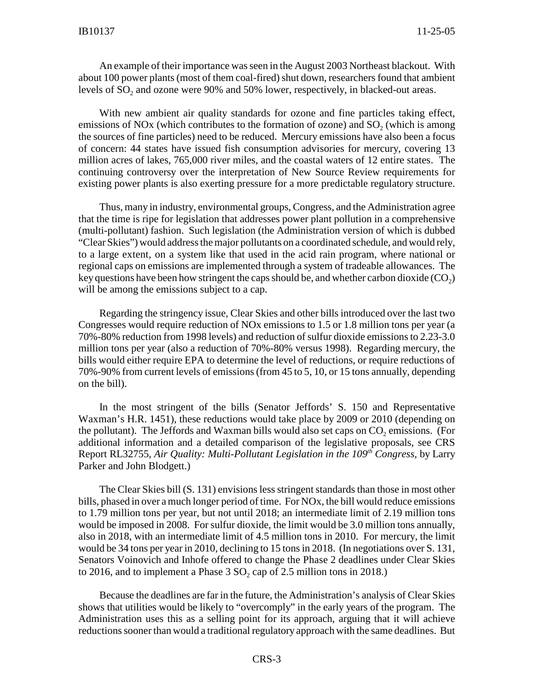An example of their importance was seen in the August 2003 Northeast blackout. With about 100 power plants (most of them coal-fired) shut down, researchers found that ambient levels of  $SO_2$  and ozone were 90% and 50% lower, respectively, in blacked-out areas.

With new ambient air quality standards for ozone and fine particles taking effect, emissions of NOx (which contributes to the formation of ozone) and  $SO<sub>2</sub>$  (which is among the sources of fine particles) need to be reduced. Mercury emissions have also been a focus of concern: 44 states have issued fish consumption advisories for mercury, covering 13 million acres of lakes, 765,000 river miles, and the coastal waters of 12 entire states. The continuing controversy over the interpretation of New Source Review requirements for existing power plants is also exerting pressure for a more predictable regulatory structure.

Thus, many in industry, environmental groups, Congress, and the Administration agree that the time is ripe for legislation that addresses power plant pollution in a comprehensive (multi-pollutant) fashion. Such legislation (the Administration version of which is dubbed "Clear Skies") would address the major pollutants on a coordinated schedule, and would rely, to a large extent, on a system like that used in the acid rain program, where national or regional caps on emissions are implemented through a system of tradeable allowances. The key questions have been how stringent the caps should be, and whether carbon dioxide  $(CO<sub>2</sub>)$ will be among the emissions subject to a cap.

Regarding the stringency issue, Clear Skies and other bills introduced over the last two Congresses would require reduction of NOx emissions to 1.5 or 1.8 million tons per year (a 70%-80% reduction from 1998 levels) and reduction of sulfur dioxide emissions to 2.23-3.0 million tons per year (also a reduction of 70%-80% versus 1998). Regarding mercury, the bills would either require EPA to determine the level of reductions, or require reductions of 70%-90% from current levels of emissions (from 45 to 5, 10, or 15 tons annually, depending on the bill).

In the most stringent of the bills (Senator Jeffords' S. 150 and Representative Waxman's H.R. 1451), these reductions would take place by 2009 or 2010 (depending on the pollutant). The Jeffords and Waxman bills would also set caps on  $CO<sub>2</sub>$  emissions. (For additional information and a detailed comparison of the legislative proposals, see CRS Report RL32755, Air Quality: Multi-Pollutant Legislation in the 109<sup>th</sup> Congress, by Larry Parker and John Blodgett.)

The Clear Skies bill (S. 131) envisions less stringent standards than those in most other bills, phased in over a much longer period of time. For NOx, the bill would reduce emissions to 1.79 million tons per year, but not until 2018; an intermediate limit of 2.19 million tons would be imposed in 2008. For sulfur dioxide, the limit would be 3.0 million tons annually, also in 2018, with an intermediate limit of 4.5 million tons in 2010. For mercury, the limit would be 34 tons per year in 2010, declining to 15 tons in 2018. (In negotiations over S. 131, Senators Voinovich and Inhofe offered to change the Phase 2 deadlines under Clear Skies to 2016, and to implement a Phase  $3 \text{ SO}_2$  cap of 2.5 million tons in 2018.)

Because the deadlines are far in the future, the Administration's analysis of Clear Skies shows that utilities would be likely to "overcomply" in the early years of the program. The Administration uses this as a selling point for its approach, arguing that it will achieve reductions sooner than would a traditional regulatory approach with the same deadlines. But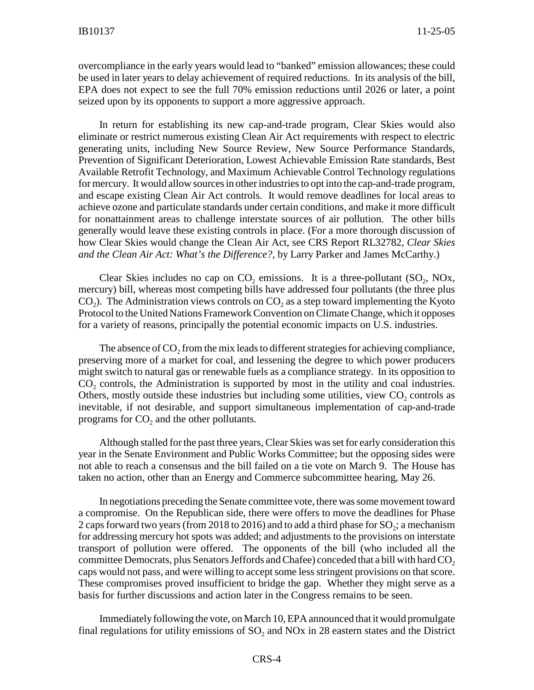overcompliance in the early years would lead to "banked" emission allowances; these could be used in later years to delay achievement of required reductions. In its analysis of the bill, EPA does not expect to see the full 70% emission reductions until 2026 or later, a point seized upon by its opponents to support a more aggressive approach.

In return for establishing its new cap-and-trade program, Clear Skies would also eliminate or restrict numerous existing Clean Air Act requirements with respect to electric generating units, including New Source Review, New Source Performance Standards, Prevention of Significant Deterioration, Lowest Achievable Emission Rate standards, Best Available Retrofit Technology, and Maximum Achievable Control Technology regulations for mercury. It would allow sources in other industries to opt into the cap-and-trade program, and escape existing Clean Air Act controls. It would remove deadlines for local areas to achieve ozone and particulate standards under certain conditions, and make it more difficult for nonattainment areas to challenge interstate sources of air pollution. The other bills generally would leave these existing controls in place. (For a more thorough discussion of how Clear Skies would change the Clean Air Act, see CRS Report RL32782, *Clear Skies and the Clean Air Act: What's the Difference?*, by Larry Parker and James McCarthy.)

Clear Skies includes no cap on  $CO<sub>2</sub>$  emissions. It is a three-pollutant (SO<sub>2</sub>, NO<sub>x</sub>, mercury) bill, whereas most competing bills have addressed four pollutants (the three plus  $CO<sub>2</sub>$ ). The Administration views controls on  $CO<sub>2</sub>$  as a step toward implementing the Kyoto Protocol to the United Nations Framework Convention on Climate Change, which it opposes for a variety of reasons, principally the potential economic impacts on U.S. industries.

The absence of  $CO<sub>2</sub>$  from the mix leads to different strategies for achieving compliance, preserving more of a market for coal, and lessening the degree to which power producers might switch to natural gas or renewable fuels as a compliance strategy. In its opposition to  $CO<sub>2</sub>$  controls, the Administration is supported by most in the utility and coal industries. Others, mostly outside these industries but including some utilities, view  $CO<sub>2</sub>$  controls as inevitable, if not desirable, and support simultaneous implementation of cap-and-trade programs for  $CO<sub>2</sub>$  and the other pollutants.

Although stalled for the past three years, Clear Skies was set for early consideration this year in the Senate Environment and Public Works Committee; but the opposing sides were not able to reach a consensus and the bill failed on a tie vote on March 9. The House has taken no action, other than an Energy and Commerce subcommittee hearing, May 26.

In negotiations preceding the Senate committee vote, there was some movement toward a compromise. On the Republican side, there were offers to move the deadlines for Phase 2 caps forward two years (from 2018 to 2016) and to add a third phase for  $SO<sub>2</sub>$ ; a mechanism for addressing mercury hot spots was added; and adjustments to the provisions on interstate transport of pollution were offered. The opponents of the bill (who included all the committee Democrats, plus Senators Jeffords and Chafee) conceded that a bill with hard  $CO<sub>2</sub>$ caps would not pass, and were willing to accept some less stringent provisions on that score. These compromises proved insufficient to bridge the gap. Whether they might serve as a basis for further discussions and action later in the Congress remains to be seen.

Immediately following the vote, on March 10, EPA announced that it would promulgate final regulations for utility emissions of  $SO_2$  and NOx in 28 eastern states and the District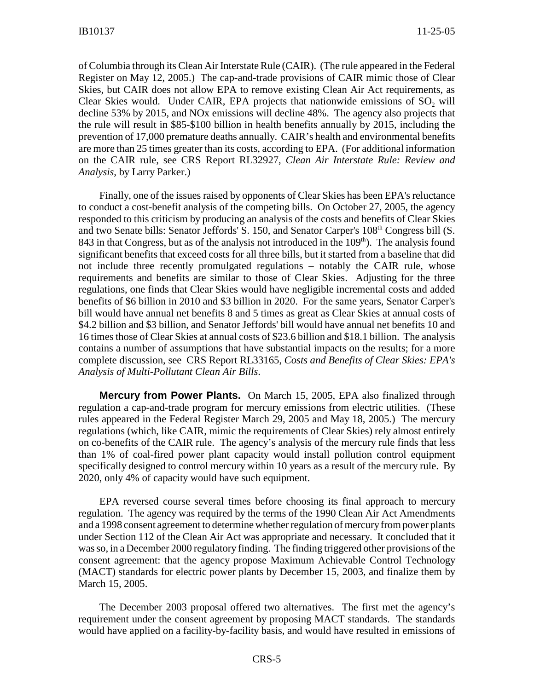of Columbia through its Clean Air Interstate Rule (CAIR). (The rule appeared in the Federal Register on May 12, 2005.) The cap-and-trade provisions of CAIR mimic those of Clear Skies, but CAIR does not allow EPA to remove existing Clean Air Act requirements, as Clear Skies would. Under CAIR, EPA projects that nationwide emissions of SO<sub>2</sub> will decline 53% by 2015, and NOx emissions will decline 48%. The agency also projects that the rule will result in \$85-\$100 billion in health benefits annually by 2015, including the prevention of 17,000 premature deaths annually. CAIR's health and environmental benefits are more than 25 times greater than its costs, according to EPA. (For additional information on the CAIR rule, see CRS Report RL32927, *Clean Air Interstate Rule: Review and Analysis*, by Larry Parker.)

Finally, one of the issues raised by opponents of Clear Skies has been EPA's reluctance to conduct a cost-benefit analysis of the competing bills. On October 27, 2005, the agency responded to this criticism by producing an analysis of the costs and benefits of Clear Skies and two Senate bills: Senator Jeffords' S. 150, and Senator Carper's 108<sup>th</sup> Congress bill (S. 843 in that Congress, but as of the analysis not introduced in the  $109<sup>th</sup>$ ). The analysis found significant benefits that exceed costs for all three bills, but it started from a baseline that did not include three recently promulgated regulations – notably the CAIR rule, whose requirements and benefits are similar to those of Clear Skies. Adjusting for the three regulations, one finds that Clear Skies would have negligible incremental costs and added benefits of \$6 billion in 2010 and \$3 billion in 2020. For the same years, Senator Carper's bill would have annual net benefits 8 and 5 times as great as Clear Skies at annual costs of \$4.2 billion and \$3 billion, and Senator Jeffords' bill would have annual net benefits 10 and 16 times those of Clear Skies at annual costs of \$23.6 billion and \$18.1 billion. The analysis contains a number of assumptions that have substantial impacts on the results; for a more complete discussion, see CRS Report RL33165, *Costs and Benefits of Clear Skies: EPA's Analysis of Multi-Pollutant Clean Air Bills*.

**Mercury from Power Plants.** On March 15, 2005, EPA also finalized through regulation a cap-and-trade program for mercury emissions from electric utilities. (These rules appeared in the Federal Register March 29, 2005 and May 18, 2005.) The mercury regulations (which, like CAIR, mimic the requirements of Clear Skies) rely almost entirely on co-benefits of the CAIR rule. The agency's analysis of the mercury rule finds that less than 1% of coal-fired power plant capacity would install pollution control equipment specifically designed to control mercury within 10 years as a result of the mercury rule. By 2020, only 4% of capacity would have such equipment.

EPA reversed course several times before choosing its final approach to mercury regulation. The agency was required by the terms of the 1990 Clean Air Act Amendments and a 1998 consent agreement to determine whether regulation of mercury from power plants under Section 112 of the Clean Air Act was appropriate and necessary. It concluded that it was so, in a December 2000 regulatory finding. The finding triggered other provisions of the consent agreement: that the agency propose Maximum Achievable Control Technology (MACT) standards for electric power plants by December 15, 2003, and finalize them by March 15, 2005.

The December 2003 proposal offered two alternatives. The first met the agency's requirement under the consent agreement by proposing MACT standards. The standards would have applied on a facility-by-facility basis, and would have resulted in emissions of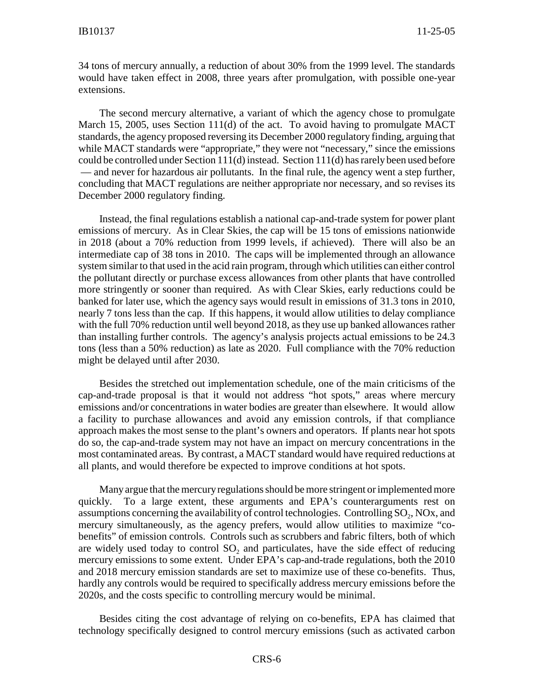34 tons of mercury annually, a reduction of about 30% from the 1999 level. The standards would have taken effect in 2008, three years after promulgation, with possible one-year extensions.

The second mercury alternative, a variant of which the agency chose to promulgate March 15, 2005, uses Section 111(d) of the act. To avoid having to promulgate MACT standards, the agency proposed reversing its December 2000 regulatory finding, arguing that while MACT standards were "appropriate," they were not "necessary," since the emissions could be controlled under Section  $111(d)$  instead. Section  $111(d)$  has rarely been used before — and never for hazardous air pollutants. In the final rule, the agency went a step further, concluding that MACT regulations are neither appropriate nor necessary, and so revises its December 2000 regulatory finding.

Instead, the final regulations establish a national cap-and-trade system for power plant emissions of mercury. As in Clear Skies, the cap will be 15 tons of emissions nationwide in 2018 (about a 70% reduction from 1999 levels, if achieved). There will also be an intermediate cap of 38 tons in 2010. The caps will be implemented through an allowance system similar to that used in the acid rain program, through which utilities can either control the pollutant directly or purchase excess allowances from other plants that have controlled more stringently or sooner than required. As with Clear Skies, early reductions could be banked for later use, which the agency says would result in emissions of 31.3 tons in 2010, nearly 7 tons less than the cap. If this happens, it would allow utilities to delay compliance with the full 70% reduction until well beyond 2018, as they use up banked allowances rather than installing further controls. The agency's analysis projects actual emissions to be 24.3 tons (less than a 50% reduction) as late as 2020. Full compliance with the 70% reduction might be delayed until after 2030.

Besides the stretched out implementation schedule, one of the main criticisms of the cap-and-trade proposal is that it would not address "hot spots," areas where mercury emissions and/or concentrations in water bodies are greater than elsewhere. It would allow a facility to purchase allowances and avoid any emission controls, if that compliance approach makes the most sense to the plant's owners and operators. If plants near hot spots do so, the cap-and-trade system may not have an impact on mercury concentrations in the most contaminated areas. By contrast, a MACT standard would have required reductions at all plants, and would therefore be expected to improve conditions at hot spots.

Many argue that the mercury regulations should be more stringent or implemented more quickly. To a large extent, these arguments and EPA's counterarguments rest on assumptions concerning the availability of control technologies. Controlling  $SO_2$ ,  $NOx$ , and mercury simultaneously, as the agency prefers, would allow utilities to maximize "cobenefits" of emission controls. Controls such as scrubbers and fabric filters, both of which are widely used today to control  $SO<sub>2</sub>$  and particulates, have the side effect of reducing mercury emissions to some extent. Under EPA's cap-and-trade regulations, both the 2010 and 2018 mercury emission standards are set to maximize use of these co-benefits. Thus, hardly any controls would be required to specifically address mercury emissions before the 2020s, and the costs specific to controlling mercury would be minimal.

Besides citing the cost advantage of relying on co-benefits, EPA has claimed that technology specifically designed to control mercury emissions (such as activated carbon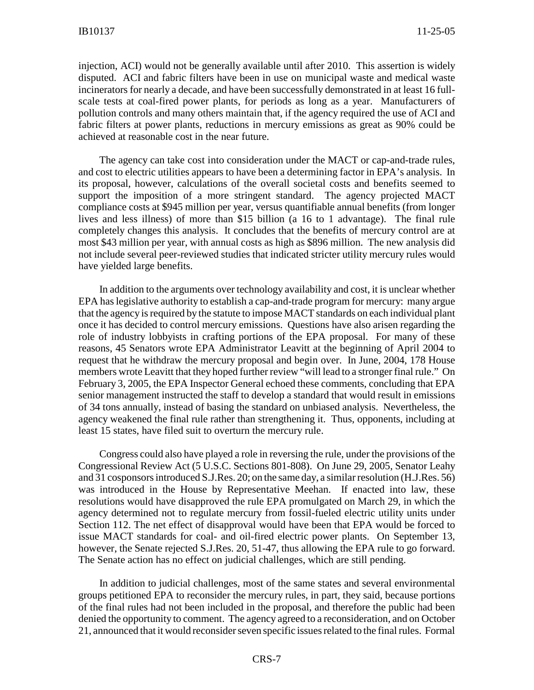injection, ACI) would not be generally available until after 2010. This assertion is widely disputed. ACI and fabric filters have been in use on municipal waste and medical waste incinerators for nearly a decade, and have been successfully demonstrated in at least 16 fullscale tests at coal-fired power plants, for periods as long as a year. Manufacturers of pollution controls and many others maintain that, if the agency required the use of ACI and fabric filters at power plants, reductions in mercury emissions as great as 90% could be achieved at reasonable cost in the near future.

The agency can take cost into consideration under the MACT or cap-and-trade rules, and cost to electric utilities appears to have been a determining factor in EPA's analysis. In its proposal, however, calculations of the overall societal costs and benefits seemed to support the imposition of a more stringent standard. The agency projected MACT compliance costs at \$945 million per year, versus quantifiable annual benefits (from longer lives and less illness) of more than \$15 billion (a 16 to 1 advantage). The final rule completely changes this analysis. It concludes that the benefits of mercury control are at most \$43 million per year, with annual costs as high as \$896 million. The new analysis did not include several peer-reviewed studies that indicated stricter utility mercury rules would have yielded large benefits.

In addition to the arguments over technology availability and cost, it is unclear whether EPA has legislative authority to establish a cap-and-trade program for mercury: many argue that the agency is required by the statute to impose MACT standards on each individual plant once it has decided to control mercury emissions. Questions have also arisen regarding the role of industry lobbyists in crafting portions of the EPA proposal. For many of these reasons, 45 Senators wrote EPA Administrator Leavitt at the beginning of April 2004 to request that he withdraw the mercury proposal and begin over. In June, 2004, 178 House members wrote Leavitt that they hoped further review "will lead to a stronger final rule." On February 3, 2005, the EPA Inspector General echoed these comments, concluding that EPA senior management instructed the staff to develop a standard that would result in emissions of 34 tons annually, instead of basing the standard on unbiased analysis. Nevertheless, the agency weakened the final rule rather than strengthening it. Thus, opponents, including at least 15 states, have filed suit to overturn the mercury rule.

Congress could also have played a role in reversing the rule, under the provisions of the Congressional Review Act (5 U.S.C. Sections 801-808). On June 29, 2005, Senator Leahy and 31 cosponsors introduced S.J.Res. 20; on the same day, a similar resolution (H.J.Res. 56) was introduced in the House by Representative Meehan. If enacted into law, these resolutions would have disapproved the rule EPA promulgated on March 29, in which the agency determined not to regulate mercury from fossil-fueled electric utility units under Section 112. The net effect of disapproval would have been that EPA would be forced to issue MACT standards for coal- and oil-fired electric power plants. On September 13, however, the Senate rejected S.J.Res. 20, 51-47, thus allowing the EPA rule to go forward. The Senate action has no effect on judicial challenges, which are still pending.

In addition to judicial challenges, most of the same states and several environmental groups petitioned EPA to reconsider the mercury rules, in part, they said, because portions of the final rules had not been included in the proposal, and therefore the public had been denied the opportunity to comment. The agency agreed to a reconsideration, and on October 21, announced that it would reconsider seven specific issues related to the final rules. Formal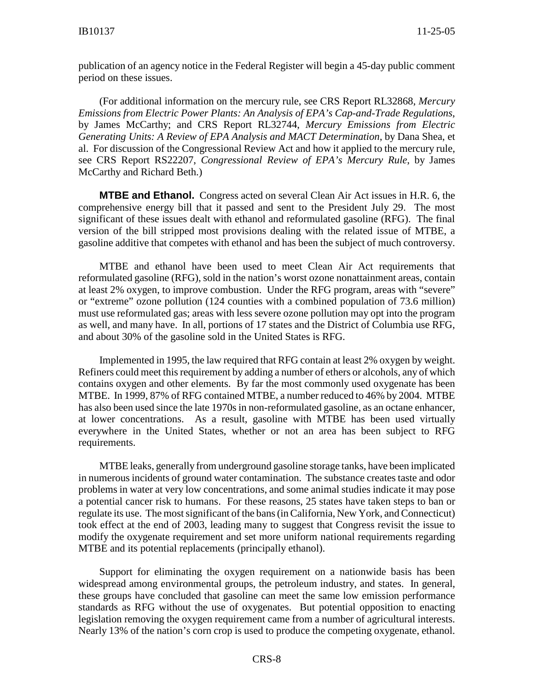publication of an agency notice in the Federal Register will begin a 45-day public comment period on these issues.

(For additional information on the mercury rule, see CRS Report RL32868, *Mercury Emissions from Electric Power Plants: An Analysis of EPA's Cap-and-Trade Regulations*, by James McCarthy; and CRS Report RL32744, *Mercury Emissions from Electric Generating Units: A Review of EPA Analysis and MACT Determination*, by Dana Shea, et al. For discussion of the Congressional Review Act and how it applied to the mercury rule, see CRS Report RS22207, *Congressional Review of EPA's Mercury Rule*, by James McCarthy and Richard Beth.)

**MTBE and Ethanol.** Congress acted on several Clean Air Act issues in H.R. 6, the comprehensive energy bill that it passed and sent to the President July 29. The most significant of these issues dealt with ethanol and reformulated gasoline (RFG). The final version of the bill stripped most provisions dealing with the related issue of MTBE, a gasoline additive that competes with ethanol and has been the subject of much controversy.

MTBE and ethanol have been used to meet Clean Air Act requirements that reformulated gasoline (RFG), sold in the nation's worst ozone nonattainment areas, contain at least 2% oxygen, to improve combustion. Under the RFG program, areas with "severe" or "extreme" ozone pollution (124 counties with a combined population of 73.6 million) must use reformulated gas; areas with less severe ozone pollution may opt into the program as well, and many have. In all, portions of 17 states and the District of Columbia use RFG, and about 30% of the gasoline sold in the United States is RFG.

Implemented in 1995, the law required that RFG contain at least 2% oxygen by weight. Refiners could meet this requirement by adding a number of ethers or alcohols, any of which contains oxygen and other elements. By far the most commonly used oxygenate has been MTBE. In 1999, 87% of RFG contained MTBE, a number reduced to 46% by 2004. MTBE has also been used since the late 1970s in non-reformulated gasoline, as an octane enhancer, at lower concentrations. As a result, gasoline with MTBE has been used virtually everywhere in the United States, whether or not an area has been subject to RFG requirements.

MTBE leaks, generally from underground gasoline storage tanks, have been implicated in numerous incidents of ground water contamination. The substance creates taste and odor problems in water at very low concentrations, and some animal studies indicate it may pose a potential cancer risk to humans. For these reasons, 25 states have taken steps to ban or regulate its use. The most significant of the bans (in California, New York, and Connecticut) took effect at the end of 2003, leading many to suggest that Congress revisit the issue to modify the oxygenate requirement and set more uniform national requirements regarding MTBE and its potential replacements (principally ethanol).

Support for eliminating the oxygen requirement on a nationwide basis has been widespread among environmental groups, the petroleum industry, and states. In general, these groups have concluded that gasoline can meet the same low emission performance standards as RFG without the use of oxygenates. But potential opposition to enacting legislation removing the oxygen requirement came from a number of agricultural interests. Nearly 13% of the nation's corn crop is used to produce the competing oxygenate, ethanol.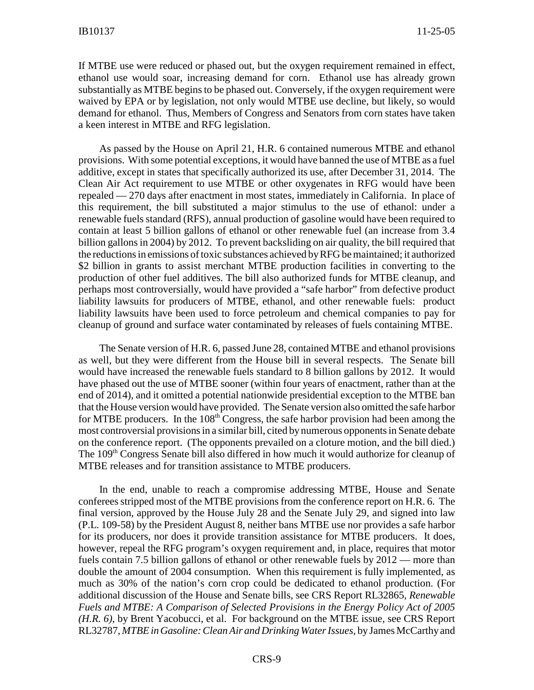If MTBE use were reduced or phased out, but the oxygen requirement remained in effect, ethanol use would soar, increasing demand for corn. Ethanol use has already grown substantially as MTBE begins to be phased out. Conversely, if the oxygen requirement were waived by EPA or by legislation, not only would MTBE use decline, but likely, so would demand for ethanol. Thus, Members of Congress and Senators from corn states have taken a keen interest in MTBE and RFG legislation.

As passed by the House on April 21, H.R. 6 contained numerous MTBE and ethanol provisions. With some potential exceptions, it would have banned the use of MTBE as a fuel additive, except in states that specifically authorized its use, after December 31, 2014. The Clean Air Act requirement to use MTBE or other oxygenates in RFG would have been repealed — 270 days after enactment in most states, immediately in California. In place of this requirement, the bill substituted a major stimulus to the use of ethanol: under a renewable fuels standard (RFS), annual production of gasoline would have been required to contain at least 5 billion gallons of ethanol or other renewable fuel (an increase from 3.4 billion gallons in 2004) by 2012. To prevent backsliding on air quality, the bill required that the reductions in emissions of toxic substances achieved by RFG be maintained; it authorized \$2 billion in grants to assist merchant MTBE production facilities in converting to the production of other fuel additives. The bill also authorized funds for MTBE cleanup, and perhaps most controversially, would have provided a "safe harbor" from defective product liability lawsuits for producers of MTBE, ethanol, and other renewable fuels: product liability lawsuits have been used to force petroleum and chemical companies to pay for cleanup of ground and surface water contaminated by releases of fuels containing MTBE.

The Senate version of H.R. 6, passed June 28, contained MTBE and ethanol provisions as well, but they were different from the House bill in several respects. The Senate bill would have increased the renewable fuels standard to 8 billion gallons by 2012. It would have phased out the use of MTBE sooner (within four years of enactment, rather than at the end of 2014), and it omitted a potential nationwide presidential exception to the MTBE ban that the House version would have provided. The Senate version also omitted the safe harbor for MTBE producers. In the  $108<sup>th</sup>$  Congress, the safe harbor provision had been among the most controversial provisions in a similar bill, cited by numerous opponents in Senate debate on the conference report. (The opponents prevailed on a cloture motion, and the bill died.) The 109<sup>th</sup> Congress Senate bill also differed in how much it would authorize for cleanup of MTBE releases and for transition assistance to MTBE producers.

In the end, unable to reach a compromise addressing MTBE, House and Senate conferees stripped most of the MTBE provisions from the conference report on H.R. 6. The final version, approved by the House July 28 and the Senate July 29, and signed into law (P.L. 109-58) by the President August 8, neither bans MTBE use nor provides a safe harbor for its producers, nor does it provide transition assistance for MTBE producers. It does, however, repeal the RFG program's oxygen requirement and, in place, requires that motor fuels contain 7.5 billion gallons of ethanol or other renewable fuels by 2012 — more than double the amount of 2004 consumption. When this requirement is fully implemented, as much as 30% of the nation's corn crop could be dedicated to ethanol production. (For additional discussion of the House and Senate bills, see CRS Report RL32865, *Renewable Fuels and MTBE: A Comparison of Selected Provisions in the Energy Policy Act of 2005 (H.R. 6)*, by Brent Yacobucci, et al. For background on the MTBE issue, see CRS Report RL32787, *MTBE in Gasoline: Clean Air and Drinking Water Issues*, by James McCarthy and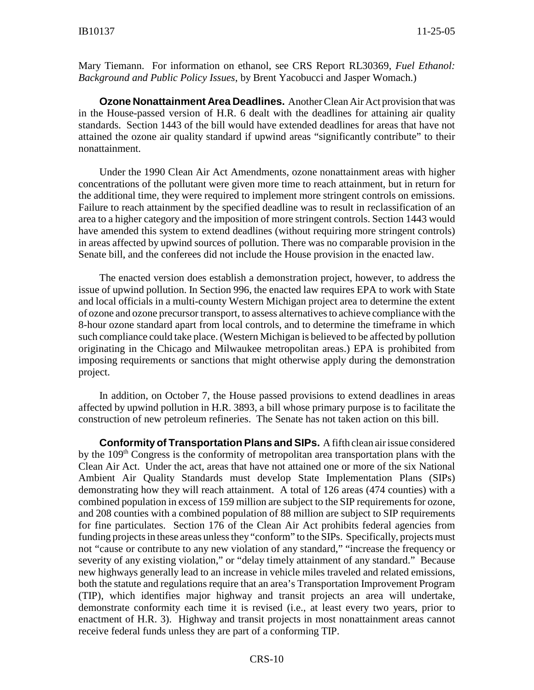Mary Tiemann. For information on ethanol, see CRS Report RL30369, *Fuel Ethanol: Background and Public Policy Issues*, by Brent Yacobucci and Jasper Womach.)

**Ozone Nonattainment Area Deadlines.** Another Clean Air Act provision that was in the House-passed version of H.R. 6 dealt with the deadlines for attaining air quality standards. Section 1443 of the bill would have extended deadlines for areas that have not attained the ozone air quality standard if upwind areas "significantly contribute" to their nonattainment.

Under the 1990 Clean Air Act Amendments, ozone nonattainment areas with higher concentrations of the pollutant were given more time to reach attainment, but in return for the additional time, they were required to implement more stringent controls on emissions. Failure to reach attainment by the specified deadline was to result in reclassification of an area to a higher category and the imposition of more stringent controls. Section 1443 would have amended this system to extend deadlines (without requiring more stringent controls) in areas affected by upwind sources of pollution. There was no comparable provision in the Senate bill, and the conferees did not include the House provision in the enacted law.

The enacted version does establish a demonstration project, however, to address the issue of upwind pollution. In Section 996, the enacted law requires EPA to work with State and local officials in a multi-county Western Michigan project area to determine the extent of ozone and ozone precursor transport, to assess alternatives to achieve compliance with the 8-hour ozone standard apart from local controls, and to determine the timeframe in which such compliance could take place. (Western Michigan is believed to be affected by pollution originating in the Chicago and Milwaukee metropolitan areas.) EPA is prohibited from imposing requirements or sanctions that might otherwise apply during the demonstration project.

In addition, on October 7, the House passed provisions to extend deadlines in areas affected by upwind pollution in H.R. 3893, a bill whose primary purpose is to facilitate the construction of new petroleum refineries. The Senate has not taken action on this bill.

**Conformity of Transportation Plans and SIPs.** A fifth clean air issue considered by the 109<sup>th</sup> Congress is the conformity of metropolitan area transportation plans with the Clean Air Act. Under the act, areas that have not attained one or more of the six National Ambient Air Quality Standards must develop State Implementation Plans (SIPs) demonstrating how they will reach attainment. A total of 126 areas (474 counties) with a combined population in excess of 159 million are subject to the SIP requirements for ozone, and 208 counties with a combined population of 88 million are subject to SIP requirements for fine particulates. Section 176 of the Clean Air Act prohibits federal agencies from funding projects in these areas unless they "conform" to the SIPs. Specifically, projects must not "cause or contribute to any new violation of any standard," "increase the frequency or severity of any existing violation," or "delay timely attainment of any standard." Because new highways generally lead to an increase in vehicle miles traveled and related emissions, both the statute and regulations require that an area's Transportation Improvement Program (TIP), which identifies major highway and transit projects an area will undertake, demonstrate conformity each time it is revised (i.e., at least every two years, prior to enactment of H.R. 3). Highway and transit projects in most nonattainment areas cannot receive federal funds unless they are part of a conforming TIP.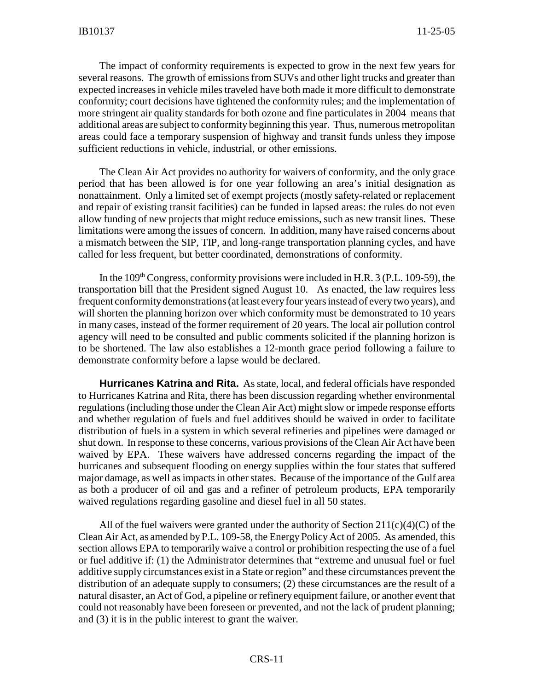The impact of conformity requirements is expected to grow in the next few years for several reasons. The growth of emissions from SUVs and other light trucks and greater than expected increases in vehicle miles traveled have both made it more difficult to demonstrate conformity; court decisions have tightened the conformity rules; and the implementation of more stringent air quality standards for both ozone and fine particulates in 2004 means that additional areas are subject to conformity beginning this year. Thus, numerous metropolitan areas could face a temporary suspension of highway and transit funds unless they impose sufficient reductions in vehicle, industrial, or other emissions.

The Clean Air Act provides no authority for waivers of conformity, and the only grace period that has been allowed is for one year following an area's initial designation as nonattainment. Only a limited set of exempt projects (mostly safety-related or replacement and repair of existing transit facilities) can be funded in lapsed areas: the rules do not even allow funding of new projects that might reduce emissions, such as new transit lines. These limitations were among the issues of concern. In addition, many have raised concerns about a mismatch between the SIP, TIP, and long-range transportation planning cycles, and have called for less frequent, but better coordinated, demonstrations of conformity.

In the  $109<sup>th</sup>$  Congress, conformity provisions were included in H.R. 3 (P.L. 109-59), the transportation bill that the President signed August 10. As enacted, the law requires less frequent conformity demonstrations (at least every four years instead of every two years), and will shorten the planning horizon over which conformity must be demonstrated to 10 years in many cases, instead of the former requirement of 20 years. The local air pollution control agency will need to be consulted and public comments solicited if the planning horizon is to be shortened. The law also establishes a 12-month grace period following a failure to demonstrate conformity before a lapse would be declared.

**Hurricanes Katrina and Rita.** As state, local, and federal officials have responded to Hurricanes Katrina and Rita, there has been discussion regarding whether environmental regulations (including those under the Clean Air Act) might slow or impede response efforts and whether regulation of fuels and fuel additives should be waived in order to facilitate distribution of fuels in a system in which several refineries and pipelines were damaged or shut down. In response to these concerns, various provisions of the Clean Air Act have been waived by EPA. These waivers have addressed concerns regarding the impact of the hurricanes and subsequent flooding on energy supplies within the four states that suffered major damage, as well as impacts in other states. Because of the importance of the Gulf area as both a producer of oil and gas and a refiner of petroleum products, EPA temporarily waived regulations regarding gasoline and diesel fuel in all 50 states.

All of the fuel waivers were granted under the authority of Section  $211(c)(4)(C)$  of the Clean Air Act, as amended by P.L. 109-58, the Energy Policy Act of 2005. As amended, this section allows EPA to temporarily waive a control or prohibition respecting the use of a fuel or fuel additive if: (1) the Administrator determines that "extreme and unusual fuel or fuel additive supply circumstances exist in a State or region" and these circumstances prevent the distribution of an adequate supply to consumers; (2) these circumstances are the result of a natural disaster, an Act of God, a pipeline or refinery equipment failure, or another event that could not reasonably have been foreseen or prevented, and not the lack of prudent planning; and (3) it is in the public interest to grant the waiver.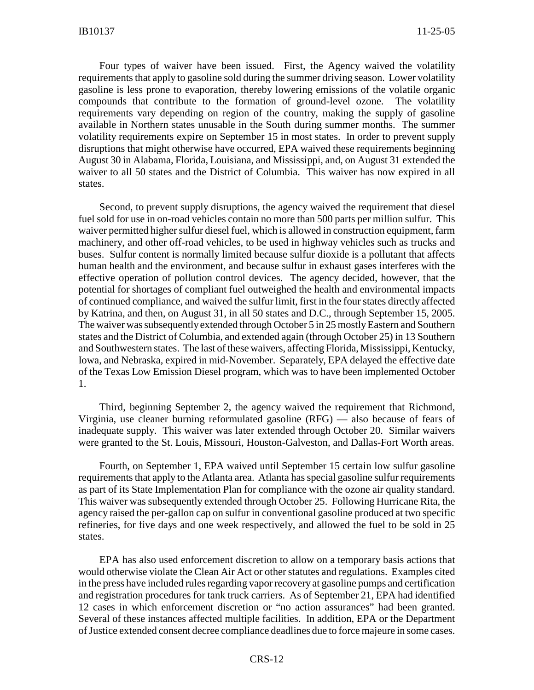Four types of waiver have been issued. First, the Agency waived the volatility requirements that apply to gasoline sold during the summer driving season. Lower volatility gasoline is less prone to evaporation, thereby lowering emissions of the volatile organic compounds that contribute to the formation of ground-level ozone. The volatility requirements vary depending on region of the country, making the supply of gasoline available in Northern states unusable in the South during summer months. The summer volatility requirements expire on September 15 in most states. In order to prevent supply disruptions that might otherwise have occurred, EPA waived these requirements beginning August 30 in Alabama, Florida, Louisiana, and Mississippi, and, on August 31 extended the waiver to all 50 states and the District of Columbia. This waiver has now expired in all states.

Second, to prevent supply disruptions, the agency waived the requirement that diesel fuel sold for use in on-road vehicles contain no more than 500 parts per million sulfur. This waiver permitted higher sulfur diesel fuel, which is allowed in construction equipment, farm machinery, and other off-road vehicles, to be used in highway vehicles such as trucks and buses. Sulfur content is normally limited because sulfur dioxide is a pollutant that affects human health and the environment, and because sulfur in exhaust gases interferes with the effective operation of pollution control devices. The agency decided, however, that the potential for shortages of compliant fuel outweighed the health and environmental impacts of continued compliance, and waived the sulfur limit, first in the four states directly affected by Katrina, and then, on August 31, in all 50 states and D.C., through September 15, 2005. The waiver was subsequently extended through October 5 in 25 mostly Eastern and Southern states and the District of Columbia, and extended again (through October 25) in 13 Southern and Southwestern states. The last of these waivers, affecting Florida, Mississippi, Kentucky, Iowa, and Nebraska, expired in mid-November. Separately, EPA delayed the effective date of the Texas Low Emission Diesel program, which was to have been implemented October 1.

Third, beginning September 2, the agency waived the requirement that Richmond, Virginia, use cleaner burning reformulated gasoline (RFG) — also because of fears of inadequate supply. This waiver was later extended through October 20. Similar waivers were granted to the St. Louis, Missouri, Houston-Galveston, and Dallas-Fort Worth areas.

Fourth, on September 1, EPA waived until September 15 certain low sulfur gasoline requirements that apply to the Atlanta area. Atlanta has special gasoline sulfur requirements as part of its State Implementation Plan for compliance with the ozone air quality standard. This waiver was subsequently extended through October 25. Following Hurricane Rita, the agency raised the per-gallon cap on sulfur in conventional gasoline produced at two specific refineries, for five days and one week respectively, and allowed the fuel to be sold in 25 states.

EPA has also used enforcement discretion to allow on a temporary basis actions that would otherwise violate the Clean Air Act or other statutes and regulations. Examples cited in the press have included rules regarding vapor recovery at gasoline pumps and certification and registration procedures for tank truck carriers. As of September 21, EPA had identified 12 cases in which enforcement discretion or "no action assurances" had been granted. Several of these instances affected multiple facilities. In addition, EPA or the Department of Justice extended consent decree compliance deadlines due to force majeure in some cases.